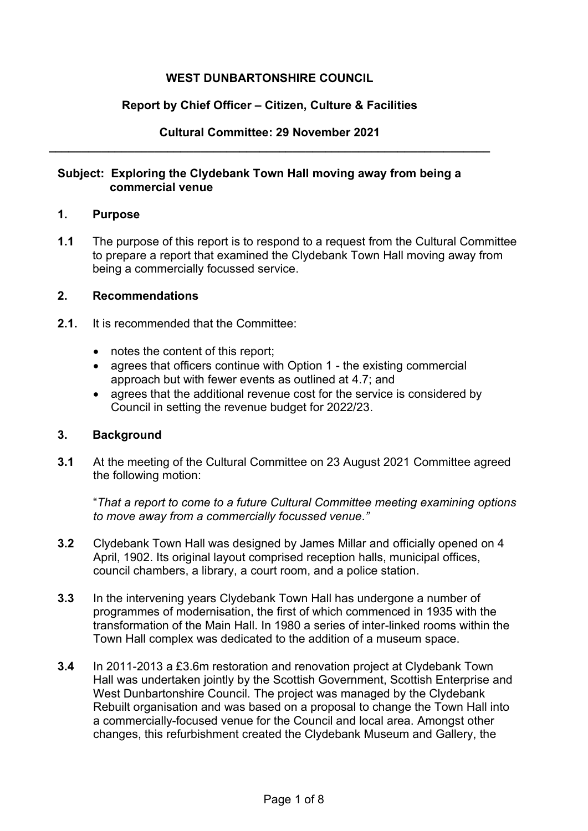# **WEST DUNBARTONSHIRE COUNCIL**

#### **Report by Chief Officer – Citizen, Culture & Facilities**

#### **Cultural Committee: 29 November 2021 \_\_\_\_\_\_\_\_\_\_\_\_\_\_\_\_\_\_\_\_\_\_\_\_\_\_\_\_\_\_\_\_\_\_\_\_\_\_\_\_\_\_\_\_\_\_\_\_\_\_\_\_\_\_\_\_\_\_\_\_\_\_\_\_\_\_\_**

#### **Subject: Exploring the Clydebank Town Hall moving away from being a commercial venue**

#### **1. Purpose**

**1.1** The purpose of this report is to respond to a request from the Cultural Committee to prepare a report that examined the Clydebank Town Hall moving away from being a commercially focussed service.

## **2. Recommendations**

- **2.1.** It is recommended that the Committee:
	- notes the content of this report:
	- agrees that officers continue with Option 1 the existing commercial approach but with fewer events as outlined at 4.7; and
	- agrees that the additional revenue cost for the service is considered by Council in setting the revenue budget for 2022/23.

### **3. Background**

**3.1** At the meeting of the Cultural Committee on 23 August 2021 Committee agreed the following motion:

"*That a report to come to a future Cultural Committee meeting examining options to move away from a commercially focussed venue."*

- **3.2** Clydebank Town Hall was designed by James Millar and officially opened on 4 April, 1902. Its original layout comprised reception halls, municipal offices, council chambers, a library, a court room, and a police station.
- **3.3** In the intervening years Clydebank Town Hall has undergone a number of programmes of modernisation, the first of which commenced in 1935 with the transformation of the Main Hall. In 1980 a series of inter-linked rooms within the Town Hall complex was dedicated to the addition of a museum space.
- **3.4** In 2011-2013 a £3.6m restoration and renovation project at Clydebank Town Hall was undertaken jointly by the Scottish Government, Scottish Enterprise and West Dunbartonshire Council. The project was managed by the Clydebank Rebuilt organisation and was based on a proposal to change the Town Hall into a commercially-focused venue for the Council and local area. Amongst other changes, this refurbishment created the Clydebank Museum and Gallery, the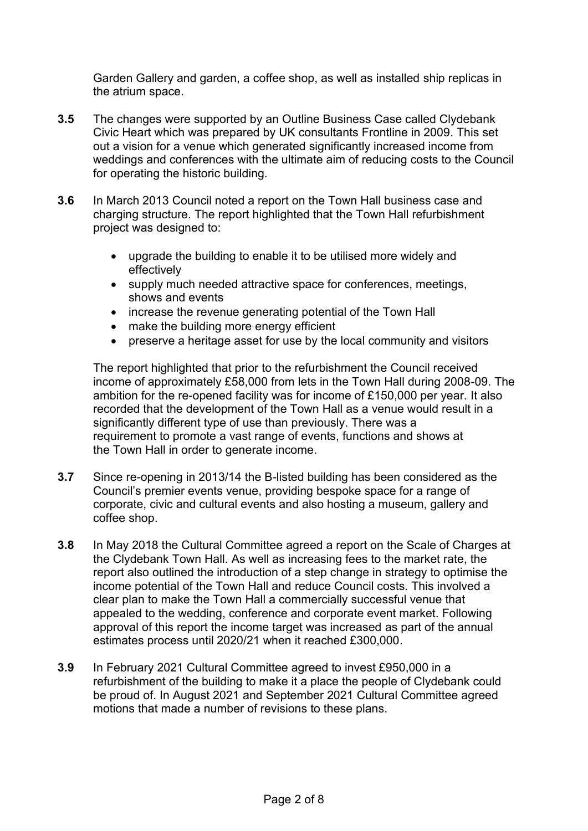Garden Gallery and garden, a coffee shop, as well as installed ship replicas in the atrium space.

- **3.5** The changes were supported by an Outline Business Case called Clydebank Civic Heart which was prepared by UK consultants Frontline in 2009. This set out a vision for a venue which generated significantly increased income from weddings and conferences with the ultimate aim of reducing costs to the Council for operating the historic building.
- **3.6** In March 2013 Council noted a report on the Town Hall business case and charging structure. The report highlighted that the Town Hall refurbishment project was designed to:
	- upgrade the building to enable it to be utilised more widely and effectively
	- supply much needed attractive space for conferences, meetings, shows and events
	- increase the revenue generating potential of the Town Hall
	- make the building more energy efficient
	- preserve a heritage asset for use by the local community and visitors

The report highlighted that prior to the refurbishment the Council received income of approximately £58,000 from lets in the Town Hall during 2008-09. The ambition for the re-opened facility was for income of £150,000 per year. It also recorded that the development of the Town Hall as a venue would result in a significantly different type of use than previously. There was a requirement to promote a vast range of events, functions and shows at the Town Hall in order to generate income.

- **3.7** Since re-opening in 2013/14 the B-listed building has been considered as the Council's premier events venue, providing bespoke space for a range of corporate, civic and cultural events and also hosting a museum, gallery and coffee shop.
- **3.8** In May 2018 the Cultural Committee agreed a report on the Scale of Charges at the Clydebank Town Hall. As well as increasing fees to the market rate, the report also outlined the introduction of a step change in strategy to optimise the income potential of the Town Hall and reduce Council costs. This involved a clear plan to make the Town Hall a commercially successful venue that appealed to the wedding, conference and corporate event market. Following approval of this report the income target was increased as part of the annual estimates process until 2020/21 when it reached £300,000.
- **3.9** In February 2021 Cultural Committee agreed to invest £950,000 in a refurbishment of the building to make it a place the people of Clydebank could be proud of. In August 2021 and September 2021 Cultural Committee agreed motions that made a number of revisions to these plans.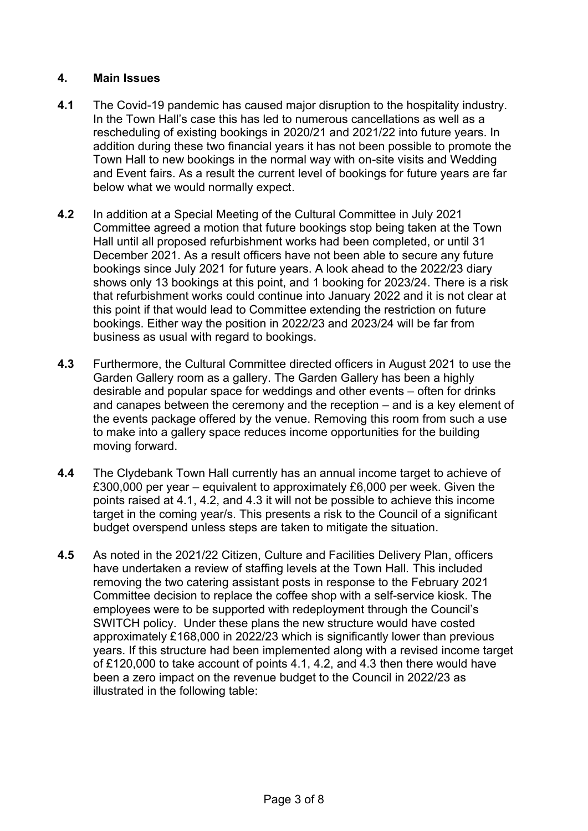# **4. Main Issues**

- **4.1** The Covid-19 pandemic has caused major disruption to the hospitality industry. In the Town Hall's case this has led to numerous cancellations as well as a rescheduling of existing bookings in 2020/21 and 2021/22 into future years. In addition during these two financial years it has not been possible to promote the Town Hall to new bookings in the normal way with on-site visits and Wedding and Event fairs. As a result the current level of bookings for future years are far below what we would normally expect.
- **4.2** In addition at a Special Meeting of the Cultural Committee in July 2021 Committee agreed a motion that future bookings stop being taken at the Town Hall until all proposed refurbishment works had been completed, or until 31 December 2021. As a result officers have not been able to secure any future bookings since July 2021 for future years. A look ahead to the 2022/23 diary shows only 13 bookings at this point, and 1 booking for 2023/24. There is a risk that refurbishment works could continue into January 2022 and it is not clear at this point if that would lead to Committee extending the restriction on future bookings. Either way the position in 2022/23 and 2023/24 will be far from business as usual with regard to bookings.
- **4.3** Furthermore, the Cultural Committee directed officers in August 2021 to use the Garden Gallery room as a gallery. The Garden Gallery has been a highly desirable and popular space for weddings and other events – often for drinks and canapes between the ceremony and the reception – and is a key element of the events package offered by the venue. Removing this room from such a use to make into a gallery space reduces income opportunities for the building moving forward.
- **4.4** The Clydebank Town Hall currently has an annual income target to achieve of £300,000 per year – equivalent to approximately £6,000 per week. Given the points raised at 4.1, 4.2, and 4.3 it will not be possible to achieve this income target in the coming year/s. This presents a risk to the Council of a significant budget overspend unless steps are taken to mitigate the situation.
- **4.5** As noted in the 2021/22 Citizen, Culture and Facilities Delivery Plan, officers have undertaken a review of staffing levels at the Town Hall. This included removing the two catering assistant posts in response to the February 2021 Committee decision to replace the coffee shop with a self-service kiosk. The employees were to be supported with redeployment through the Council's SWITCH policy. Under these plans the new structure would have costed approximately £168,000 in 2022/23 which is significantly lower than previous years. If this structure had been implemented along with a revised income target of £120,000 to take account of points 4.1, 4.2, and 4.3 then there would have been a zero impact on the revenue budget to the Council in 2022/23 as illustrated in the following table: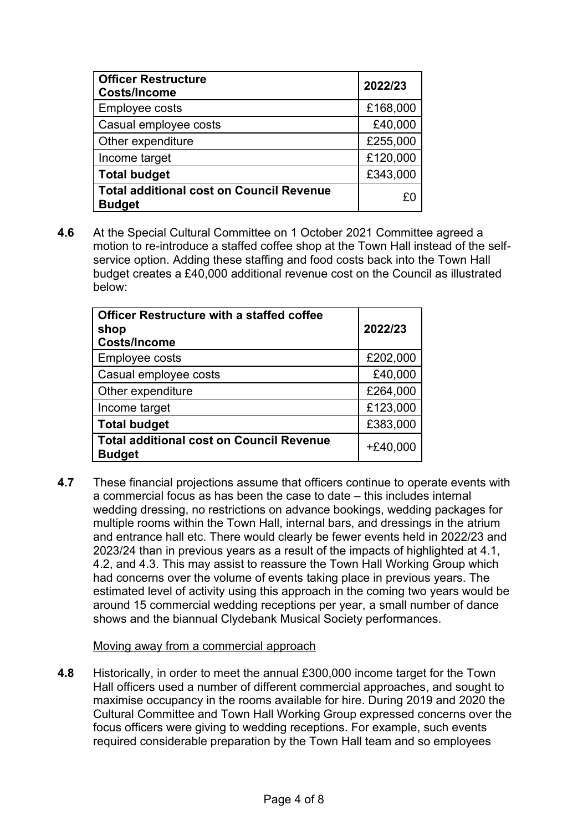| <b>Officer Restructure</b><br><b>Costs/Income</b>                | 2022/23  |
|------------------------------------------------------------------|----------|
| <b>Employee costs</b>                                            | £168,000 |
| Casual employee costs                                            | £40,000  |
| Other expenditure                                                | £255,000 |
| Income target                                                    | £120,000 |
| <b>Total budget</b>                                              | £343,000 |
| <b>Total additional cost on Council Revenue</b><br><b>Budget</b> |          |

**4.6** At the Special Cultural Committee on 1 October 2021 Committee agreed a motion to re-introduce a staffed coffee shop at the Town Hall instead of the selfservice option. Adding these staffing and food costs back into the Town Hall budget creates a £40,000 additional revenue cost on the Council as illustrated below:

| <b>Officer Restructure with a staffed coffee</b><br>shop<br><b>Costs/Income</b> | 2022/23    |
|---------------------------------------------------------------------------------|------------|
| Employee costs                                                                  | £202,000   |
| Casual employee costs                                                           | £40,000    |
| Other expenditure                                                               | £264,000   |
| Income target                                                                   | £123,000   |
| <b>Total budget</b>                                                             | £383,000   |
| <b>Total additional cost on Council Revenue</b><br><b>Budget</b>                | $+£40,000$ |

**4.7** These financial projections assume that officers continue to operate events with a commercial focus as has been the case to date – this includes internal wedding dressing, no restrictions on advance bookings, wedding packages for multiple rooms within the Town Hall, internal bars, and dressings in the atrium and entrance hall etc. There would clearly be fewer events held in 2022/23 and 2023/24 than in previous years as a result of the impacts of highlighted at 4.1, 4.2, and 4.3. This may assist to reassure the Town Hall Working Group which had concerns over the volume of events taking place in previous years. The estimated level of activity using this approach in the coming two years would be around 15 commercial wedding receptions per year, a small number of dance shows and the biannual Clydebank Musical Society performances.

### Moving away from a commercial approach

**4.8** Historically, in order to meet the annual £300,000 income target for the Town Hall officers used a number of different commercial approaches, and sought to maximise occupancy in the rooms available for hire. During 2019 and 2020 the Cultural Committee and Town Hall Working Group expressed concerns over the focus officers were giving to wedding receptions. For example, such events required considerable preparation by the Town Hall team and so employees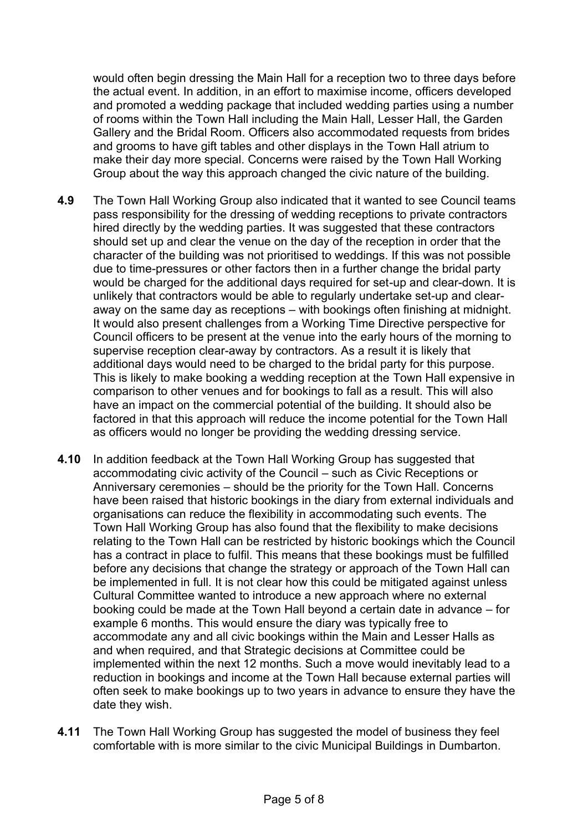would often begin dressing the Main Hall for a reception two to three days before the actual event. In addition, in an effort to maximise income, officers developed and promoted a wedding package that included wedding parties using a number of rooms within the Town Hall including the Main Hall, Lesser Hall, the Garden Gallery and the Bridal Room. Officers also accommodated requests from brides and grooms to have gift tables and other displays in the Town Hall atrium to make their day more special. Concerns were raised by the Town Hall Working Group about the way this approach changed the civic nature of the building.

- **4.9** The Town Hall Working Group also indicated that it wanted to see Council teams pass responsibility for the dressing of wedding receptions to private contractors hired directly by the wedding parties. It was suggested that these contractors should set up and clear the venue on the day of the reception in order that the character of the building was not prioritised to weddings. If this was not possible due to time-pressures or other factors then in a further change the bridal party would be charged for the additional days required for set-up and clear-down. It is unlikely that contractors would be able to regularly undertake set-up and clearaway on the same day as receptions – with bookings often finishing at midnight. It would also present challenges from a Working Time Directive perspective for Council officers to be present at the venue into the early hours of the morning to supervise reception clear-away by contractors. As a result it is likely that additional days would need to be charged to the bridal party for this purpose. This is likely to make booking a wedding reception at the Town Hall expensive in comparison to other venues and for bookings to fall as a result. This will also have an impact on the commercial potential of the building. It should also be factored in that this approach will reduce the income potential for the Town Hall as officers would no longer be providing the wedding dressing service.
- **4.10** In addition feedback at the Town Hall Working Group has suggested that accommodating civic activity of the Council – such as Civic Receptions or Anniversary ceremonies – should be the priority for the Town Hall. Concerns have been raised that historic bookings in the diary from external individuals and organisations can reduce the flexibility in accommodating such events. The Town Hall Working Group has also found that the flexibility to make decisions relating to the Town Hall can be restricted by historic bookings which the Council has a contract in place to fulfil. This means that these bookings must be fulfilled before any decisions that change the strategy or approach of the Town Hall can be implemented in full. It is not clear how this could be mitigated against unless Cultural Committee wanted to introduce a new approach where no external booking could be made at the Town Hall beyond a certain date in advance – for example 6 months. This would ensure the diary was typically free to accommodate any and all civic bookings within the Main and Lesser Halls as and when required, and that Strategic decisions at Committee could be implemented within the next 12 months. Such a move would inevitably lead to a reduction in bookings and income at the Town Hall because external parties will often seek to make bookings up to two years in advance to ensure they have the date they wish.
- **4.11** The Town Hall Working Group has suggested the model of business they feel comfortable with is more similar to the civic Municipal Buildings in Dumbarton.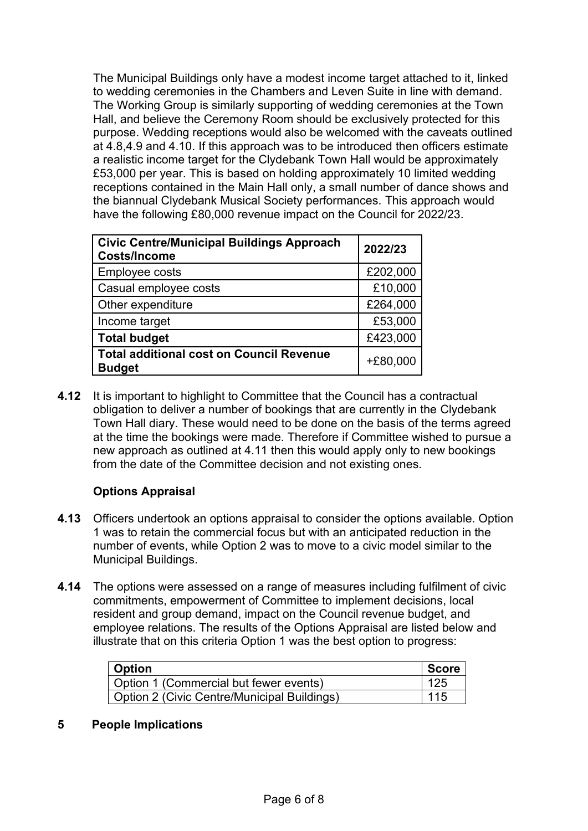The Municipal Buildings only have a modest income target attached to it, linked to wedding ceremonies in the Chambers and Leven Suite in line with demand. The Working Group is similarly supporting of wedding ceremonies at the Town Hall, and believe the Ceremony Room should be exclusively protected for this purpose. Wedding receptions would also be welcomed with the caveats outlined at 4.8,4.9 and 4.10. If this approach was to be introduced then officers estimate a realistic income target for the Clydebank Town Hall would be approximately £53,000 per year. This is based on holding approximately 10 limited wedding receptions contained in the Main Hall only, a small number of dance shows and the biannual Clydebank Musical Society performances. This approach would have the following £80,000 revenue impact on the Council for 2022/23.

| <b>Civic Centre/Municipal Buildings Approach</b><br><b>Costs/Income</b> | 2022/23    |
|-------------------------------------------------------------------------|------------|
| <b>Employee costs</b>                                                   | £202,000   |
| Casual employee costs                                                   | £10,000    |
| Other expenditure                                                       | £264,000   |
| Income target                                                           | £53,000    |
| <b>Total budget</b>                                                     | £423,000   |
| <b>Total additional cost on Council Revenue</b><br><b>Budget</b>        | $+£80,000$ |

**4.12** It is important to highlight to Committee that the Council has a contractual obligation to deliver a number of bookings that are currently in the Clydebank Town Hall diary. These would need to be done on the basis of the terms agreed at the time the bookings were made. Therefore if Committee wished to pursue a new approach as outlined at 4.11 then this would apply only to new bookings from the date of the Committee decision and not existing ones.

# **Options Appraisal**

- **4.13** Officers undertook an options appraisal to consider the options available. Option 1 was to retain the commercial focus but with an anticipated reduction in the number of events, while Option 2 was to move to a civic model similar to the Municipal Buildings.
- **4.14** The options were assessed on a range of measures including fulfilment of civic commitments, empowerment of Committee to implement decisions, local resident and group demand, impact on the Council revenue budget, and employee relations. The results of the Options Appraisal are listed below and illustrate that on this criteria Option 1 was the best option to progress:

| <b>Option</b>                                      | <b>Score</b> |
|----------------------------------------------------|--------------|
| Option 1 (Commercial but fewer events)             | 125          |
| <b>Option 2 (Civic Centre/Municipal Buildings)</b> | -115         |

### **5 People Implications**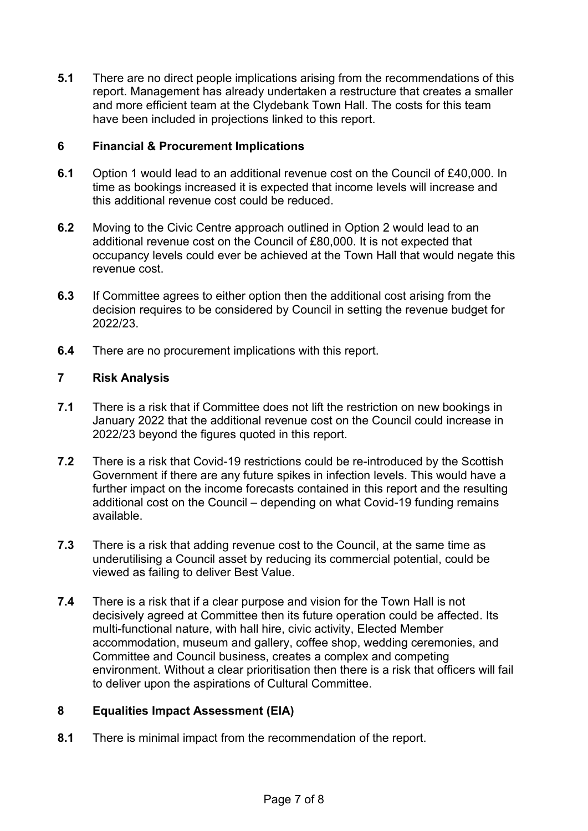**5.1** There are no direct people implications arising from the recommendations of this report. Management has already undertaken a restructure that creates a smaller and more efficient team at the Clydebank Town Hall. The costs for this team have been included in projections linked to this report.

## **6 Financial & Procurement Implications**

- **6.1** Option 1 would lead to an additional revenue cost on the Council of £40,000. In time as bookings increased it is expected that income levels will increase and this additional revenue cost could be reduced.
- **6.2** Moving to the Civic Centre approach outlined in Option 2 would lead to an additional revenue cost on the Council of £80,000. It is not expected that occupancy levels could ever be achieved at the Town Hall that would negate this revenue cost.
- **6.3** If Committee agrees to either option then the additional cost arising from the decision requires to be considered by Council in setting the revenue budget for 2022/23.
- **6.4** There are no procurement implications with this report.

# **7 Risk Analysis**

- **7.1** There is a risk that if Committee does not lift the restriction on new bookings in January 2022 that the additional revenue cost on the Council could increase in 2022/23 beyond the figures quoted in this report.
- **7.2** There is a risk that Covid-19 restrictions could be re-introduced by the Scottish Government if there are any future spikes in infection levels. This would have a further impact on the income forecasts contained in this report and the resulting additional cost on the Council – depending on what Covid-19 funding remains available.
- **7.3** There is a risk that adding revenue cost to the Council, at the same time as underutilising a Council asset by reducing its commercial potential, could be viewed as failing to deliver Best Value.
- **7.4** There is a risk that if a clear purpose and vision for the Town Hall is not decisively agreed at Committee then its future operation could be affected. Its multi-functional nature, with hall hire, civic activity, Elected Member accommodation, museum and gallery, coffee shop, wedding ceremonies, and Committee and Council business, creates a complex and competing environment. Without a clear prioritisation then there is a risk that officers will fail to deliver upon the aspirations of Cultural Committee.

### **8 Equalities Impact Assessment (EIA)**

**8.1** There is minimal impact from the recommendation of the report.